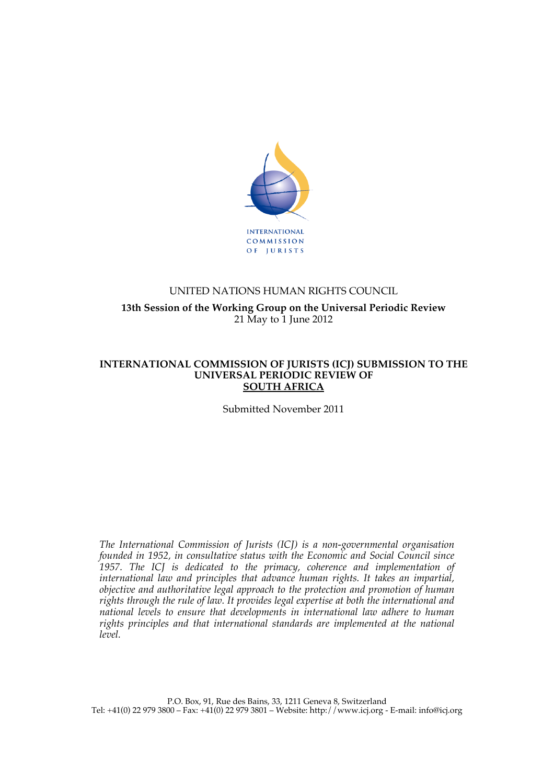

# UNITED NATIONS HUMAN RIGHTS COUNCIL **13th Session of the Working Group on the Universal Periodic Review** 21 May to 1 June 2012

#### **INTERNATIONAL COMMISSION OF JURISTS (ICJ) SUBMISSION TO THE UNIVERSAL PERIODIC REVIEW OF SOUTH AFRICA**

Submitted November 2011

*The International Commission of Jurists (ICJ) is a non-governmental organisation founded in 1952, in consultative status with the Economic and Social Council since 1957. The ICJ is dedicated to the primacy, coherence and implementation of international law and principles that advance human rights. It takes an impartial, objective and authoritative legal approach to the protection and promotion of human rights through the rule of law. It provides legal expertise at both the international and national levels to ensure that developments in international law adhere to human*  rights principles and that international standards are implemented at the national *level.*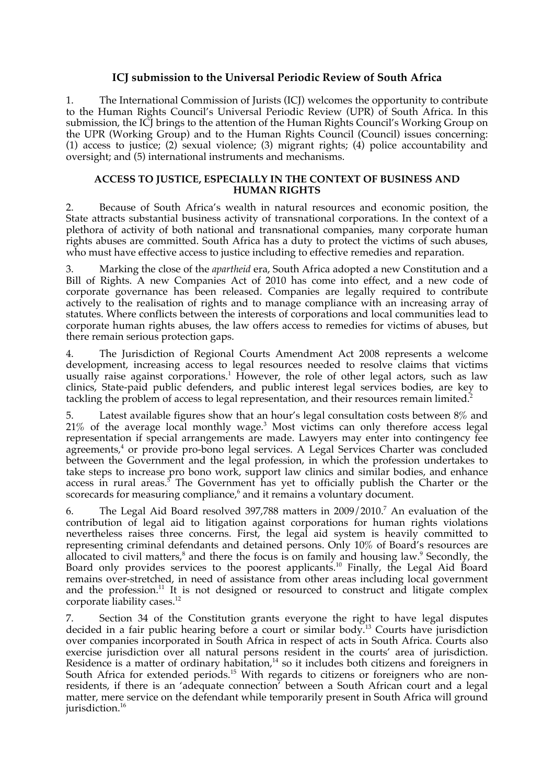# **ICJ submission to the Universal Periodic Review of South Africa**

1. The International Commission of Jurists (ICJ) welcomes the opportunity to contribute to the Human Rights Council's Universal Periodic Review (UPR) of South Africa. In this submission, the ICJ brings to the attention of the Human Rights Council's Working Group on the UPR (Working Group) and to the Human Rights Council (Council) issues concerning: (1) access to justice; (2) sexual violence; (3) migrant rights; (4) police accountability and oversight; and (5) international instruments and mechanisms.

#### **ACCESS TO JUSTICE, ESPECIALLY IN THE CONTEXT OF BUSINESS AND HUMAN RIGHTS**

2. Because of South Africa's wealth in natural resources and economic position, the State attracts substantial business activity of transnational corporations. In the context of a plethora of activity of both national and transnational companies, many corporate human rights abuses are committed. South Africa has a duty to protect the victims of such abuses, who must have effective access to justice including to effective remedies and reparation.

3. Marking the close of the *apartheid* era, South Africa adopted a new Constitution and a Bill of Rights. A new Companies Act of 2010 has come into effect, and a new code of corporate governance has been released. Companies are legally required to contribute actively to the realisation of rights and to manage compliance with an increasing array of statutes. Where conflicts between the interests of corporations and local communities lead to corporate human rights abuses, the law offers access to remedies for victims of abuses, but there remain serious protection gaps.

4. The Jurisdiction of Regional Courts Amendment Act 2008 represents a welcome development, increasing access to legal resources needed to resolve claims that victims usually raise against corporations. <sup>1</sup> However, the role of other legal actors, such as law clinics, State-paid public defenders, and public interest legal services bodies, are key to tackling the problem of access to legal representation, and their resources remain limited.<sup>2</sup>

5. Latest available figures show that an hour's legal consultation costs between 8% and  $21\%$  of the average local monthly wage.<sup>3</sup> Most victims can only therefore access legal representation if special arrangements are made. Lawyers may enter into contingency fee agreements, <sup>4</sup> or provide pro-bono legal services. A Legal Services Charter was concluded between the Government and the legal profession, in which the profession undertakes to take steps to increase pro bono work, support law clinics and similar bodies, and enhance access in rural areas.<sup>5</sup> The Government has yet to officially publish the Charter or the scorecards for measuring compliance, <sup>6</sup> and it remains a voluntary document.

6. The Legal Aid Board resolved 397,788 matters in 2009/2010. <sup>7</sup> An evaluation of the contribution of legal aid to litigation against corporations for human rights violations nevertheless raises three concerns. First, the legal aid system is heavily committed to representing criminal defendants and detained persons. Only 10% of Board's resources are allocated to civil matters,<sup>8</sup> and there the focus is on family and housing law.<sup>9</sup> Secondly, the Board only provides services to the poorest applicants.<sup>10</sup> Finally, the Legal Aid Board remains over-stretched, in need of assistance from other areas including local government and the profession.<sup>11</sup> It is not designed or resourced to construct and litigate complex corporate liability cases.<sup>12</sup>

7. Section 34 of the Constitution grants everyone the right to have legal disputes decided in a fair public hearing before a court or similar body.13 Courts have jurisdiction over companies incorporated in South Africa in respect of acts in South Africa. Courts also exercise jurisdiction over all natural persons resident in the courts' area of jurisdiction. Residence is a matter of ordinary habitation, $14$  so it includes both citizens and foreigners in South Africa for extended periods.<sup>15</sup> With regards to citizens or foreigners who are nonresidents, if there is an 'adequate connection' between a South African court and a legal matter, mere service on the defendant while temporarily present in South Africa will ground jurisdiction.<sup>16</sup>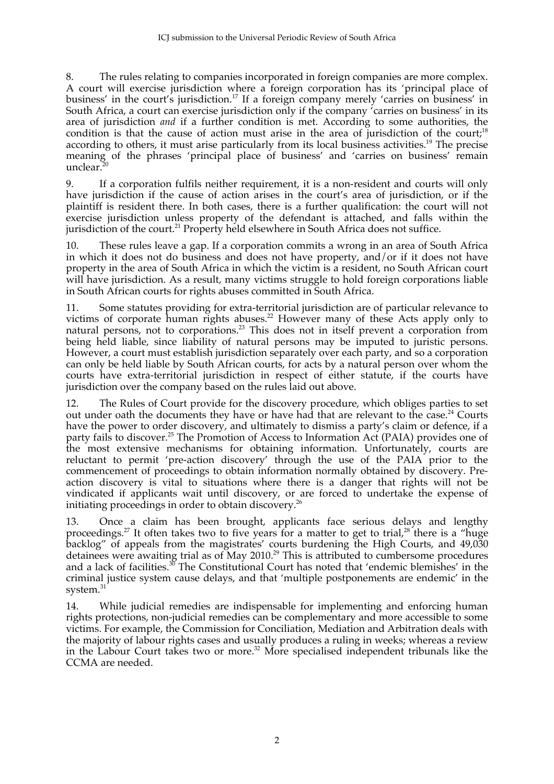8. The rules relating to companies incorporated in foreign companies are more complex. A court will exercise jurisdiction where a foreign corporation has its 'principal place of business' in the court's jurisdiction.<sup>17</sup> If a foreign company merely 'carries on business' in South Africa, a court can exercise jurisdiction only if the company 'carries on business' in its area of jurisdiction *and* if a further condition is met. According to some authorities, the condition is that the cause of action must arise in the area of jurisdiction of the court;<sup>18</sup> according to others, it must arise particularly from its local business activities.<sup>19</sup> The precise meaning of the phrases 'principal place of business' and 'carries on business' remain unclear. $\frac{3}{2}$ 

9. If a corporation fulfils neither requirement, it is a non-resident and courts will only have jurisdiction if the cause of action arises in the court's area of jurisdiction, or if the plaintiff is resident there. In both cases, there is a further qualification: the court will not exercise jurisdiction unless property of the defendant is attached, and falls within the jurisdiction of the court.<sup>21</sup> Property held elsewhere in South Africa does not suffice.

10. These rules leave a gap. If a corporation commits a wrong in an area of South Africa in which it does not do business and does not have property, and/or if it does not have property in the area of South Africa in which the victim is a resident, no South African court will have jurisdiction. As a result, many victims struggle to hold foreign corporations liable in South African courts for rights abuses committed in South Africa.

11. Some statutes providing for extra-territorial jurisdiction are of particular relevance to victims of corporate human rights abuses.<sup>22</sup> However many of these Acts apply only to natural persons, not to corporations.<sup>23</sup> This does not in itself prevent a corporation from being held liable, since liability of natural persons may be imputed to juristic persons. However, a court must establish jurisdiction separately over each party, and so a corporation can only be held liable by South African courts, for acts by a natural person over whom the courts have extra-territorial jurisdiction in respect of either statute, if the courts have jurisdiction over the company based on the rules laid out above.

12. The Rules of Court provide for the discovery procedure, which obliges parties to set out under oath the documents they have or have had that are relevant to the case.<sup>24</sup> Courts have the power to order discovery, and ultimately to dismiss a party's claim or defence, if a party fails to discover.<sup>25</sup> The Promotion of Access to Information Act (PAIA) provides one of the most extensive mechanisms for obtaining information. Unfortunately, courts are reluctant to permit 'pre-action discovery' through the use of the PAIA prior to the commencement of proceedings to obtain information normally obtained by discovery. Preaction discovery is vital to situations where there is a danger that rights will not be vindicated if applicants wait until discovery, or are forced to undertake the expense of initiating proceedings in order to obtain discovery.<sup>26</sup>

13. Once a claim has been brought, applicants face serious delays and lengthy proceedings.<sup>27</sup> It often takes two to five years for a matter to get to trial,<sup>28</sup> there is a "huge backlog" of appeals from the magistrates' courts burdening the High Courts, and 49,030 detainees were awaiting trial as of May 2010. 29 This is attributed to cumbersome procedures and a lack of facilities.<sup>30</sup> The Constitutional Court has noted that 'endemic blemishes' in the criminal justice system cause delays, and that 'multiple postponements are endemic' in the system.<sup>31</sup>

14. While judicial remedies are indispensable for implementing and enforcing human rights protections, non-judicial remedies can be complementary and more accessible to some victims. For example, the Commission for Conciliation, Mediation and Arbitration deals with the majority of labour rights cases and usually produces a ruling in weeks; whereas a review in the Labour Court takes two or more. <sup>32</sup> More specialised independent tribunals like the CCMA are needed.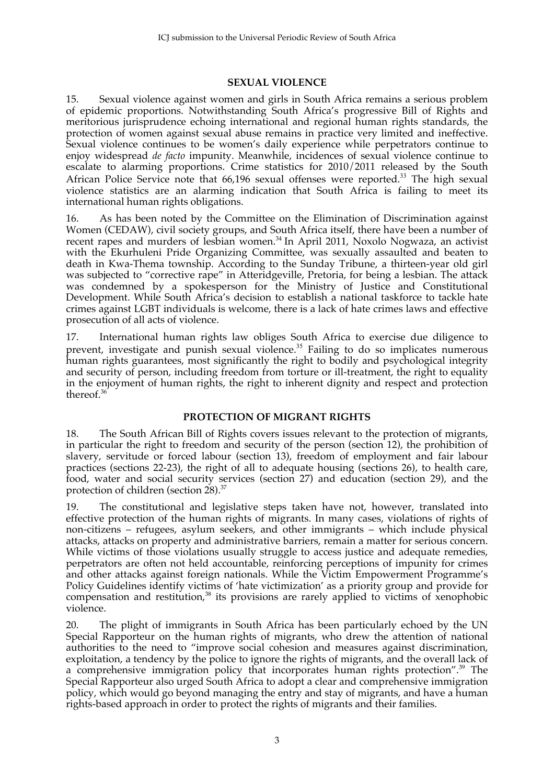# **SEXUAL VIOLENCE**

15. Sexual violence against women and girls in South Africa remains a serious problem of epidemic proportions. Notwithstanding South Africa's progressive Bill of Rights and meritorious jurisprudence echoing international and regional human rights standards, the protection of women against sexual abuse remains in practice very limited and ineffective. Sexual violence continues to be women's daily experience while perpetrators continue to enjoy widespread *de facto* impunity. Meanwhile, incidences of sexual violence continue to escalate to alarming proportions. Crime statistics for 2010/2011 released by the South African Police Service note that  $66,196$  sexual offenses were reported.<sup>33</sup> The high sexual violence statistics are an alarming indication that South Africa is failing to meet its international human rights obligations.

16. As has been noted by the Committee on the Elimination of Discrimination against Women (CEDAW), civil society groups, and South Africa itself, there have been a number of recent rapes and murders of lesbian women.<sup>34</sup> In April 2011, Noxolo Nogwaza, an activist with the Ekurhuleni Pride Organizing Committee, was sexually assaulted and beaten to death in Kwa-Thema township. According to the Sunday Tribune, a thirteen-year old girl was subjected to "corrective rape" in Atteridgeville, Pretoria, for being a lesbian. The attack was condemned by a spokesperson for the Ministry of Justice and Constitutional Development. While South Africa's decision to establish a national taskforce to tackle hate crimes against LGBT individuals is welcome, there is a lack of hate crimes laws and effective prosecution of all acts of violence.

17. International human rights law obliges South Africa to exercise due diligence to prevent, investigate and punish sexual violence.<sup>35</sup> Failing to do so implicates numerous human rights guarantees, most significantly the right to bodily and psychological integrity and security of person, including freedom from torture or ill-treatment, the right to equality in the enjoyment of human rights, the right to inherent dignity and respect and protection thereof. 36

## **PROTECTION OF MIGRANT RIGHTS**

18. The South African Bill of Rights covers issues relevant to the protection of migrants, in particular the right to freedom and security of the person (section 12), the prohibition of slavery, servitude or forced labour (section 13), freedom of employment and fair labour practices (sections 22-23), the right of all to adequate housing (sections 26), to health care, food, water and social security services (section 27) and education (section 29), and the protection of children (section 28).<sup>37</sup>

19. The constitutional and legislative steps taken have not, however, translated into effective protection of the human rights of migrants. In many cases, violations of rights of non-citizens – refugees, asylum seekers, and other immigrants – which include physical attacks, attacks on property and administrative barriers, remain a matter for serious concern. While victims of those violations usually struggle to access justice and adequate remedies, perpetrators are often not held accountable, reinforcing perceptions of impunity for crimes and other attacks against foreign nationals. While the Victim Empowerment Programme's Policy Guidelines identify victims of 'hate victimization' as a priority group and provide for compensation and restitution, $38$  its provisions are rarely applied to victims of xenophobic violence.

20. The plight of immigrants in South Africa has been particularly echoed by the UN Special Rapporteur on the human rights of migrants, who drew the attention of national authorities to the need to "improve social cohesion and measures against discrimination, exploitation, a tendency by the police to ignore the rights of migrants, and the overall lack of a comprehensive immigration policy that incorporates human rights protection". <sup>39</sup> The Special Rapporteur also urged South Africa to adopt a clear and comprehensive immigration policy, which would go beyond managing the entry and stay of migrants, and have a human rights-based approach in order to protect the rights of migrants and their families.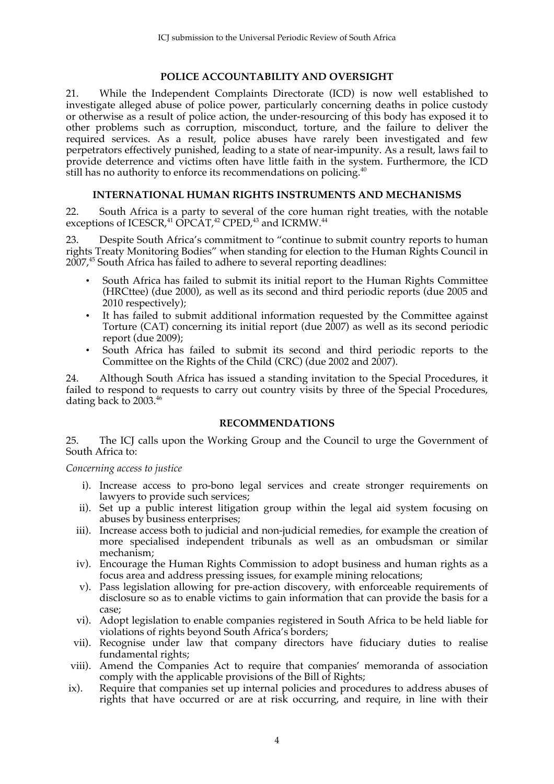# **POLICE ACCOUNTABILITY AND OVERSIGHT**

21. While the Independent Complaints Directorate (ICD) is now well established to investigate alleged abuse of police power, particularly concerning deaths in police custody or otherwise as a result of police action, the under-resourcing of this body has exposed it to other problems such as corruption, misconduct, torture, and the failure to deliver the required services. As a result, police abuses have rarely been investigated and few perpetrators effectively punished, leading to a state of near-impunity. As a result, laws fail to provide deterrence and victims often have little faith in the system. Furthermore, the ICD still has no authority to enforce its recommendations on policing.<sup>40</sup>

## **INTERNATIONAL HUMAN RIGHTS INSTRUMENTS AND MECHANISMS**

22. South Africa is a party to several of the core human right treaties, with the notable exceptions of ICESCR,<sup>41</sup> OPCAT,<sup>42</sup> CPED,<sup>43</sup> and ICRMW.<sup>44</sup>

23. Despite South Africa's commitment to "continue to submit country reports to human rights Treaty Monitoring Bodies" when standing for election to the Human Rights Council in 2007, <sup>45</sup> South Africa has failed to adhere to several reporting deadlines:

- South Africa has failed to submit its initial report to the Human Rights Committee (HRCttee) (due 2000), as well as its second and third periodic reports (due 2005 and 2010 respectively);
- It has failed to submit additional information requested by the Committee against Torture (CAT) concerning its initial report (due 2007) as well as its second periodic report (due 2009);
- South Africa has failed to submit its second and third periodic reports to the Committee on the Rights of the Child (CRC) (due 2002 and 2007).

24. Although South Africa has issued a standing invitation to the Special Procedures, it failed to respond to requests to carry out country visits by three of the Special Procedures, dating back to 2003. 46

## **RECOMMENDATIONS**

25. The ICJ calls upon the Working Group and the Council to urge the Government of South Africa to:

*Concerning access to justice*

- i). Increase access to pro-bono legal services and create stronger requirements on lawyers to provide such services;
- ii). Set up a public interest litigation group within the legal aid system focusing on abuses by business enterprises;
- iii). Increase access both to judicial and non-judicial remedies, for example the creation of more specialised independent tribunals as well as an ombudsman or similar mechanism;
- iv). Encourage the Human Rights Commission to adopt business and human rights as a focus area and address pressing issues, for example mining relocations;
- v). Pass legislation allowing for pre-action discovery, with enforceable requirements of disclosure so as to enable victims to gain information that can provide the basis for a case;
- vi). Adopt legislation to enable companies registered in South Africa to be held liable for violations of rights beyond South Africa's borders;
- vii). Recognise under law that company directors have fiduciary duties to realise fundamental rights;
- viii). Amend the Companies Act to require that companies' memoranda of association comply with the applicable provisions of the Bill of Rights;
- ix). Require that companies set up internal policies and procedures to address abuses of rights that have occurred or are at risk occurring, and require, in line with their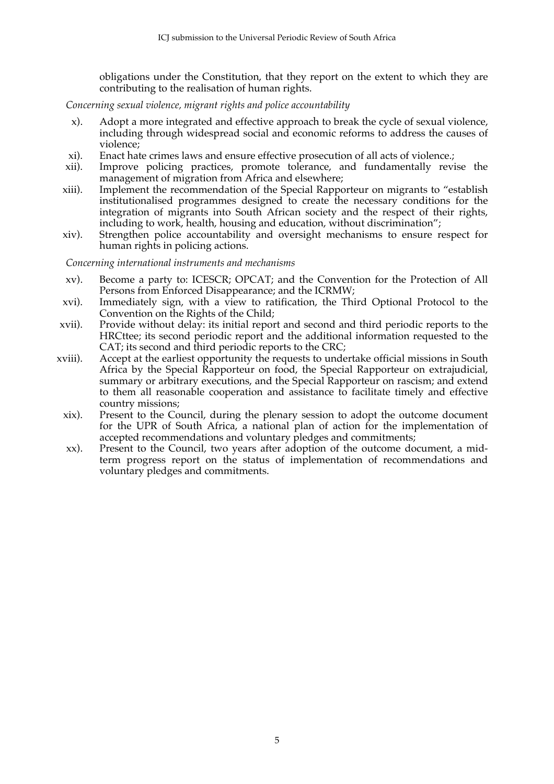obligations under the Constitution, that they report on the extent to which they are contributing to the realisation of human rights.

*Concerning sexual violence, migrant rights and police accountability*

- x). Adopt a more integrated and effective approach to break the cycle of sexual violence, including through widespread social and economic reforms to address the causes of violence;
- xi). Enact hate crimes laws and ensure effective prosecution of all acts of violence.;
- xii). Improve policing practices, promote tolerance, and fundamentally revise the management of migration from Africa and elsewhere;
- xiii). Implement the recommendation of the Special Rapporteur on migrants to "establish institutionalised programmes designed to create the necessary conditions for the integration of migrants into South African society and the respect of their rights, including to work, health, housing and education, without discrimination";
- xiv). Strengthen police accountability and oversight mechanisms to ensure respect for human rights in policing actions.

*Concerning international instruments and mechanisms*

- xv). Become a party to: ICESCR; OPCAT; and the Convention for the Protection of All Persons from Enforced Disappearance; and the ICRMW;
- xvi). Immediately sign, with a view to ratification, the Third Optional Protocol to the Convention on the Rights of the Child;
- xvii). Provide without delay: its initial report and second and third periodic reports to the HRCttee; its second periodic report and the additional information requested to the CAT; its second and third periodic reports to the CRC;
- xviii). Accept at the earliest opportunity the requests to undertake official missions in South Africa by the Special Rapporteur on food, the Special Rapporteur on extrajudicial, summary or arbitrary executions, and the Special Rapporteur on rascism; and extend to them all reasonable cooperation and assistance to facilitate timely and effective country missions;
	- xix). Present to the Council, during the plenary session to adopt the outcome document for the UPR of South Africa, a national plan of action for the implementation of accepted recommendations and voluntary pledges and commitments;
	- xx). Present to the Council, two years after adoption of the outcome document, a midterm progress report on the status of implementation of recommendations and voluntary pledges and commitments.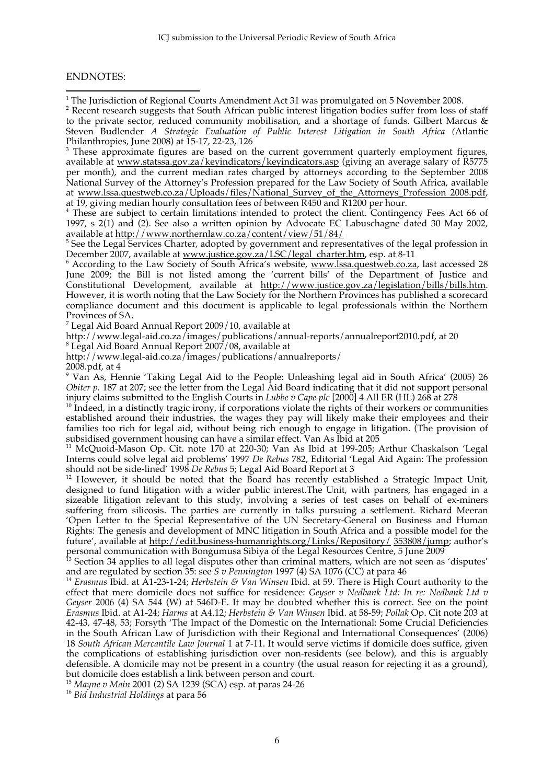#### ENDNOTES:

1<br><sup>1</sup> The Jurisdiction of Regional Courts Amendment Act 31 was promulgated on 5 November 2008.

 $2$  Recent research suggests that South African public interest litigation bodies suffer from loss of staff to the private sector, reduced community mobilisation, and a shortage of funds. Gilbert Marcus & Steven Budlender *A Strategic Evaluation of Public Interest Litigation in South Africa (*Atlantic Philanthropies, June 2008) at 15-17, 22-23, 126

<sup>3</sup> These approximate figures are based on the current government quarterly employment figures, available at www.statssa.gov.za/keyindicators/keyindicators.asp (giving an average salary of R5775 per month), and the current median rates charged by attorneys according to the September 2008 National Survey of the Attorney's Profession prepared for the Law Society of South Africa, available at www.lssa.questweb.co.za/Uploads/files/National\_Survey\_of\_the\_Attorneys\_Profession 2008.pdf, at 19, giving median hourly consultation fees of between R450 and R1200 per hour.

<sup>4</sup> These are subject to certain limitations intended to protect the client. Contingency Fees Act 66 of 1997, s 2(1) and (2). See also a written opinion by Advocate EC Labuschagne dated 30 May 2002, available at http://www.northernlaw.co.za/content/view/51/84/

<sup>5</sup> See the Legal Services Charter, adopted by government and representatives of the legal profession in December 2007, available at www.justice.gov.za/LSC/legal\_charter.htm, esp. at 8-11

<sup>6</sup> According to the Law Society of South Africa's website, www.lssa.questweb.co.za, last accessed 28 June 2009; the Bill is not listed among the 'current bills' of the Department of Justice and Constitutional Development, available at http://www.justice.gov.za/legislation/bills/bills.htm. However, it is worth noting that the Law Society for the Northern Provinces has published a scorecard compliance document and this document is applicable to legal professionals within the Northern Provinces of SA.

<sup>7</sup> Legal Aid Board Annual Report 2009/10, available at

http://www.legal-aid.co.za/images/publications/annual-reports/annualreport2010.pdf, at 20 8 Legal Aid Board Annual Report 2007/08, available at

http://www.legal-aid.co.za/images/publications/annualreports/

 $2008$ .pdf, at 4

 Van As, Hennie 'Taking Legal Aid to the People: Unleashing legal aid in South Africa' (2005) 26 *Obiter p.* 187 at 207; see the letter from the Legal Aid Board indicating that it did not support personal

injury claims submitted to the English Courts in *Lubbe v Cape plc* [2000] 4 All ER (HL) 268 at 278 <sup>10</sup> Indeed, in a distinctly tragic irony, if corporations violate the rights of their workers or communities established around their industries, the wages they pay will likely make their employees and their families too rich for legal aid, without being rich enough to engage in litigation. (The provision of

<sup>11</sup> McQuoid-Mason Op. Cit. note 170 at 220-30; Van As Ibid at 199-205; Arthur Chaskalson 'Legal Interns could solve legal aid problems' 1997 *De Rebus* 782, Editorial 'Legal Aid Again: The profession

<sup>12</sup> However, it should be noted that the Board has recently established a Strategic Impact Unit, designed to fund litigation with a wider public interest.The Unit, with partners, has engaged in a sizeable litigation relevant to this study, involving a series of test cases on behalf of ex-miners suffering from silicosis. The parties are currently in talks pursuing a settlement. Richard Meeran 'Open Letter to the Special Representative of the UN Secretary-General on Business and Human Rights: The genesis and development of MNC litigation in South Africa and a possible model for the future', available at http://edit.business-humanrights.org/Links/Repository/ 353808/jump; author's personal communication with Bongumusa Sibiya of the Legal Resources Centre, 5 June 2009

 $13$  Section 34 applies to all legal disputes other than criminal matters, which are not seen as 'disputes'

and are regulated by section 35: see *S v Pennington* 1997 (4) SA 1076 (CC) at para 46 <sup>14</sup> *Erasmus* Ibid. at A1-23-1-24; *Herbstein & Van Winsen* Ibid. at 59. There is High Court authority to the effect that mere domicile does not suffice for residence: *Geyser v Nedbank Ltd: In re: Nedbank Ltd v Geyser* 2006 (4) SA 544 (W) at 546D-E. It may be doubted whether this is correct. See on the point *Erasmus* Ibid. at A1-24; *Harms* at A4.12; *Herbstein & Van Winsen* Ibid. at 58-59; *Pollak* Op. Cit note 203 at 42-43, 47-48, 53; Forsyth 'The Impact of the Domestic on the International: Some Crucial Deficiencies in the South African Law of Jurisdiction with their Regional and International Consequences' (2006) 18 *South African Mercantile Law Journal* 1 at 7-11. It would serve victims if domicile does suffice, given the complications of establishing jurisdiction over non-residents (see below), and this is arguably defensible. A domicile may not be present in a country (the usual reason for rejecting it as a ground),

but domicile does establish a link between person and court. <sup>15</sup> *Mayne v Main* 2001 (2) SA 1239 (SCA) esp. at paras 24-26 <sup>16</sup> *Bid Industrial Holdings* at para 56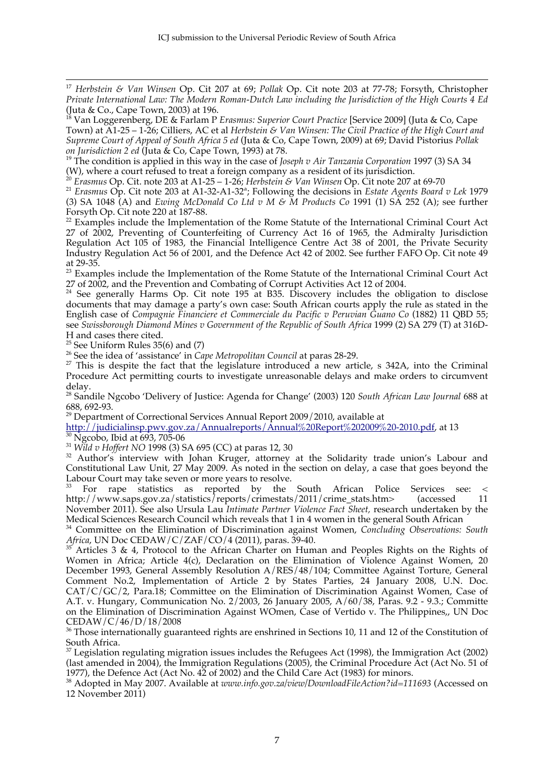<sup>17</sup> *Herbstein & Van Winsen* Op. Cit 207 at 69; *Pollak* Op. Cit note 203 at 77-78; Forsyth, Christopher *Private International Law: The Modern Roman-Dutch Law including the Jurisdiction of the High Courts 4 Ed*  (Juta & Co., Cape Town, 2003) at 196.

18 Van Loggerenberg, DE & Farlam P *Erasmus: Superior Court Practice* [Service 2009] (Juta & Co, Cape Town) at A1-25 – 1-26; Cilliers, AC et al *Herbstein & Van Winsen: The Civil Practice of the High Court and Supreme Court of Appeal of South Africa 5 ed* (Juta & Co, Cape Town, 2009) at 69; David Pistorius *Pollak on Jurisdiction 2 ed* (Juta & Co, Cape Town, 1993) at 78.

19 The condition is applied in this way in the case of *Joseph v Air Tanzania Corporation* 1997 (3) SA 34 (W), where a court refused to treat a foreign company as a resident of its jurisdiction.

<sup>20</sup> *Erasmus* Op. Cit. note 203 at A1-25 – 1-26; *Herbstein & Van Winsen* Op. Cit note 207 at 69-70

<sup>21</sup> *Erasmus* Op. Cit note 203 at A1-32-A1-32ª; Following the decisions in *Estate Agents Board v Lek* 1979 (3) SA 1048 (A) and *Ewing McDonald Co Ltd v M & M Products Co* 1991 (1) SA 252 (A); see further Forsyth Op. Cit note 220 at 187-88.

<sup>22</sup> Examples include the Implementation of the Rome Statute of the International Criminal Court Act 27 of 2002, Preventing of Counterfeiting of Currency Act 16 of 1965, the Admiralty Jurisdiction Regulation Act 105 of 1983, the Financial Intelligence Centre Act 38 of 2001, the Private Security Industry Regulation Act 56 of 2001, and the Defence Act 42 of 2002. See further FAFO Op. Cit note 49 at 29-35.

<sup>23</sup> Examples include the Implementation of the Rome Statute of the International Criminal Court Act

27 of 2002, and the Prevention and Combating of Corrupt Activities Act 12 of 2004.<br><sup>24</sup> See generally Harms Op. Cit note 195 at B35. Discovery includes the obligation to disclose documents that may damage a party's own case: South African courts apply the rule as stated in the English case of *Compagnie Financiere et Commerciale du Pacific v Peruvian Guano Co* (1882) 11 QBD 55; see *Swissborough Diamond Mines v Government of the Republic of South Africa* 1999 (2) SA 279 (T) at 316D-

H and cases there cited.<br><sup>25</sup> See Uniform Rules 35(6) and (7)

<sup>26</sup> See the idea of 'assistance' in *Cape Metropolitan Council* at paras 28-29.

 $27$  This is despite the fact that the legislature introduced a new article, s 342A, into the Criminal Procedure Act permitting courts to investigate unreasonable delays and make orders to circumvent delay.

<sup>28</sup> Sandile Ngcobo 'Delivery of Justice: Agenda for Change' (2003) 120 *South African Law Journal* 688 at

<sup>29</sup> Department of Correctional Services Annual Report 2009/2010, available at

http://judicialinsp.pwv.gov.za/Annualreports/Annual%20Report%202009%20-2010.pdf, at 13<br><sup>30</sup> Ngcobo, Ibid at 693, 705-06<br><sup>31</sup> Wild v Hoffert NO 1998 (3) SA 695 (CC) at paras 12, 30

<sup>32</sup> Author's interview with Johan Kruger, attorney at the Solidarity trade union's Labour and Constitutional Law Unit, 27 May 2009. As noted in the section on delay, a case that goes beyond the

For rape statistics as reported by the South African Police Services see: < http://www.saps.gov.za/statistics/reports/crimestats/2011/crime\_stats.htm> (accessed 11 November 2011). See also Ursula Lau *Intimate Partner Violence Fact Sheet,* research undertaken by the Medical Sciences Research Council which reveals that 1 in 4 women in the general South African

<sup>34</sup> Committee on the Elimination of Discrimination against Women, *Concluding Observations: South Africa*, UN Doc CEDAW/C/ZAF/CO/4 (2011), paras. 39-40.

*Articles* 3 & 4, Protocol to the African Charter on Human and Peoples Rights on the Rights of Women in Africa; Article 4(c), Declaration on the Elimination of Violence Against Women, 20 December 1993, General Assembly Resolution A/RES/48/104; Committee Against Torture, General Comment No.2, Implementation of Article 2 by States Parties, 24 January 2008, U.N. Doc. CAT/C/GC/2, Para.18; Committee on the Elimination of Discrimination Against Women, Case of A.T. v. Hungary, Communication No. 2/2003, 26 January 2005, A/60/38, Paras. 9.2 - 9.3.; Committe on the Elimination of Discrimination Against WOmen, Case of Vertido v. The Philippines,, UN Doc CEDAW/C/46/D/18/2008

<sup>36</sup> Those internationally guaranteed rights are enshrined in Sections 10, 11 and 12 of the Constitution of South Africa.

 $37$  Legislation regulating migration issues includes the Refugees Act (1998), the Immigration Act (2002) (last amended in 2004), the Immigration Regulations (2005), the Criminal Procedure Act (Act No. 51 of 1977), the Defence Act (Act No. 42 of 2002) and the Child Care Act (1983) for minors.

38 Adopted in May 2007. Available at *www.info.gov.za/view/DownloadFileAction?id=111693* (Accessed on 12 November 2011)